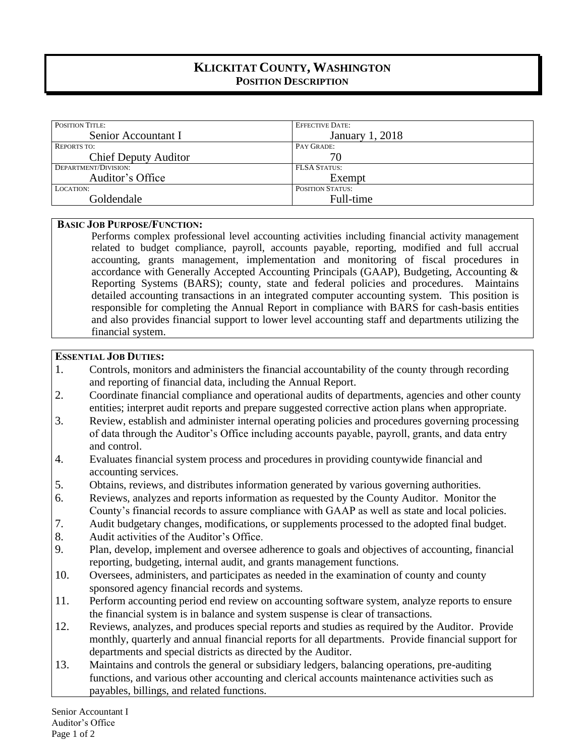# **KLICKITAT COUNTY, WASHINGTON POSITION DESCRIPTION**

| <b>POSITION TITLE:</b>      | <b>EFFECTIVE DATE:</b>  |
|-----------------------------|-------------------------|
| Senior Accountant I         | January 1, 2018         |
| <b>REPORTS TO:</b>          | PAY GRADE:              |
| <b>Chief Deputy Auditor</b> | 70                      |
| DEPARTMENT/DIVISION:        | <b>FLSA STATUS:</b>     |
| Auditor's Office            | Exempt                  |
| LOCATION:                   | <b>POSITION STATUS:</b> |
| Goldendale                  | Full-time               |

#### **BASIC JOB PURPOSE/FUNCTION:**

Performs complex professional level accounting activities including financial activity management related to budget compliance, payroll, accounts payable, reporting, modified and full accrual accounting, grants management, implementation and monitoring of fiscal procedures in accordance with Generally Accepted Accounting Principals (GAAP), Budgeting, Accounting & Reporting Systems (BARS); county, state and federal policies and procedures. Maintains detailed accounting transactions in an integrated computer accounting system. This position is responsible for completing the Annual Report in compliance with BARS for cash-basis entities and also provides financial support to lower level accounting staff and departments utilizing the financial system.

### **ESSENTIAL JOB DUTIES:**

- 1. Controls, monitors and administers the financial accountability of the county through recording and reporting of financial data, including the Annual Report.
- 2. Coordinate financial compliance and operational audits of departments, agencies and other county entities; interpret audit reports and prepare suggested corrective action plans when appropriate.
- 3. Review, establish and administer internal operating policies and procedures governing processing of data through the Auditor's Office including accounts payable, payroll, grants, and data entry and control.
- 4. Evaluates financial system process and procedures in providing countywide financial and accounting services.
- 5. Obtains, reviews, and distributes information generated by various governing authorities.
- 6. Reviews, analyzes and reports information as requested by the County Auditor. Monitor the County's financial records to assure compliance with GAAP as well as state and local policies.
- 7. Audit budgetary changes, modifications, or supplements processed to the adopted final budget.
- 8. Audit activities of the Auditor's Office.
- 9. Plan, develop, implement and oversee adherence to goals and objectives of accounting, financial reporting, budgeting, internal audit, and grants management functions.
- 10. Oversees, administers, and participates as needed in the examination of county and county sponsored agency financial records and systems.
- 11. Perform accounting period end review on accounting software system, analyze reports to ensure the financial system is in balance and system suspense is clear of transactions.
- 12. Reviews, analyzes, and produces special reports and studies as required by the Auditor. Provide monthly, quarterly and annual financial reports for all departments. Provide financial support for departments and special districts as directed by the Auditor.
- 13. Maintains and controls the general or subsidiary ledgers, balancing operations, pre-auditing functions, and various other accounting and clerical accounts maintenance activities such as payables, billings, and related functions.